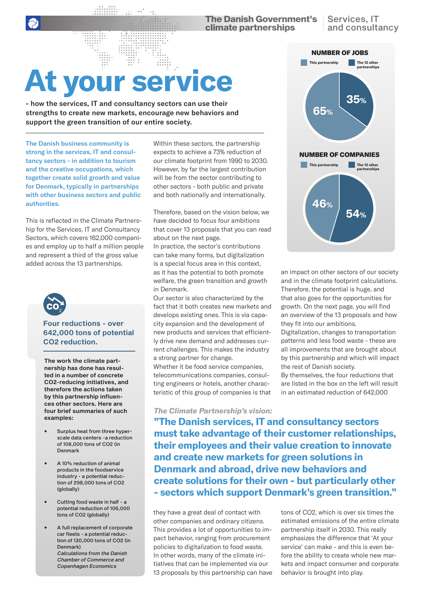**The Danish Government's** Services, IT climate partnerships

# **At your service**

- how the services, IT and consultancy sectors can use their strengths to create new markets, encourage new behaviors and support the green transition of our entire society.

The Danish business community is strong in the services, IT and consultancy sectors - in addition to tourism and the creative occupations, which together create solid growth and value for Denmark, typically in partnerships with other business sectors and public authorities.

This is reflected in the Climate Partnership for the Services, IT and Consultancy Sectors, which covers 162,000 companies and employ up to half a million people and represent a third of the gross value added across the 13 partnerships.



#### **Four reductions - over 642,000 tons of potential CO2 reduction.**

**The work the climate partnership has done has resulted in a number of concrete CO2-reducing initiatives, and therefore the actions taken by this partnership influences other sectors. Here are four brief summaries of such examples:**

- Surplus heat from three hyperscale data centers -a reduction of 108,000 tons of CO2 (in Denmark
- A 10% reduction of animal products in the foodservice industry - a potential reduction of 298,000 tons of CO2 (globally)
- Cutting food waste in half a potential reduction of 106,000 tons of CO2 (globally)
- A full replacement of corporate car fleets - a potential reduction of 130,000 tons of CO2 (in Denmark) Calculations from the Danish Chamber of Commerce and Copenhagen Economics

Within these sectors, the partnership expects to achieve a 73% reduction of our climate footprint from 1990 to 2030. However, by far the largest contribution will be from the sector contributing to other sectors - both public and private and both nationally and internationally.

Therefore, based on the vision below, we have decided to focus four ambitions that cover 13 proposals that you can read about on the next page.

In practice, the sector's contributions can take many forms, but digitalization is a special focus area in this context, as it has the potential to both promote welfare, the green transition and growth in Denmark.

Our sector is also characterized by the fact that it both creates new markets and develops existing ones. This is via capacity expansion and the development of new products and services that efficiently drive new demand and addresses current challenges. This makes the industry a strong partner for change.

Whether it be food service companies, telecommunications companies, consulting engineers or hotels, another characteristic of this group of companies is that

#### *The Climate Partnership's vision:*

**"The Danish services, IT and consultancy sectors must take advantage of their customer relationships, their employees and their value creation to innovate and create new markets for green solutions in Denmark and abroad, drive new behaviors and create solutions for their own - but particularly other - sectors which support Denmark's green transition."**

they have a great deal of contact with other companies and ordinary citizens. This provides a lot of opportunities to impact behavior, ranging from procurement policies to digitalization to food waste. In other words, many of the climate initiatives that can be implemented via our 13 proposals by this partnership can have



an impact on other sectors of our society and in the climate footprint calculations. Therefore, the potential is huge, and that also goes for the opportunities for growth. On the next page, you will find an overview of the 13 proposals and how they fit into our ambitions. Digitalization, changes to transportation patterns and less food waste - these are all improvements that are brought about by this partnership and which will impact the rest of Danish society. By themselves, the four reductions that are listed in the box on the left will result in an estimated reduction of 642,000

tons of CO2, which is over six times the estimated emissions of the entire climate partnership itself in 2030. This really emphasizes the difference that 'At your service' can make - and this is even before the ability to create whole new markets and impact consumer and corporate behavior is brought into play.